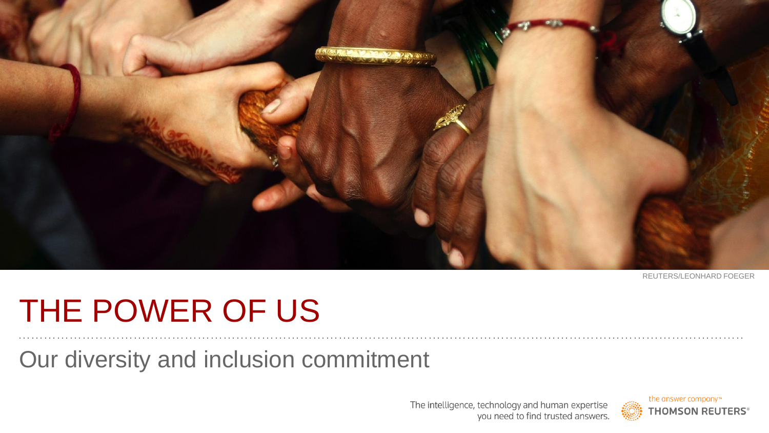

REUTERS/LEONHARD FOEGER

# THE POWER OF US

Our diversity and inclusion commitment

The intelligence, technology and human expertise you need to find trusted answers.

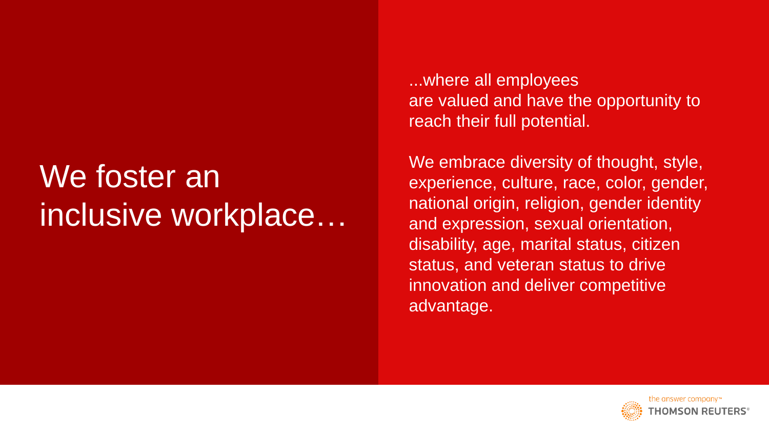## We foster an inclusive workplace…

...where all employees are valued and have the opportunity to reach their full potential.

We embrace diversity of thought, style, experience, culture, race, color, gender, national origin, religion, gender identity and expression, sexual orientation, disability, age, marital status, citizen status, and veteran status to drive innovation and deliver competitive advantage.

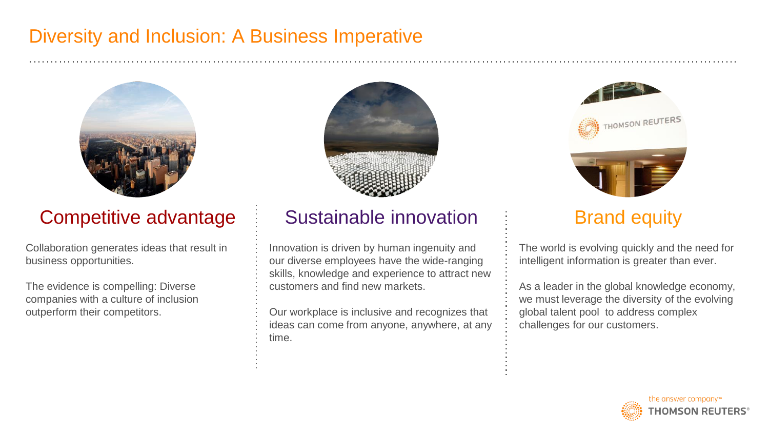## Diversity and Inclusion: A Business Imperative



## Competitive advantage

Collaboration generates ideas that result in business opportunities.

The evidence is compelling: Diverse companies with a culture of inclusion outperform their competitors.



## Sustainable innovation

Innovation is driven by human ingenuity and our diverse employees have the wide-ranging skills, knowledge and experience to attract new customers and find new markets.

Our workplace is inclusive and recognizes that ideas can come from anyone, anywhere, at any time.



## Brand equity

The world is evolving quickly and the need for intelligent information is greater than ever.

As a leader in the global knowledge economy, we must leverage the diversity of the evolving global talent pool to address complex challenges for our customers.

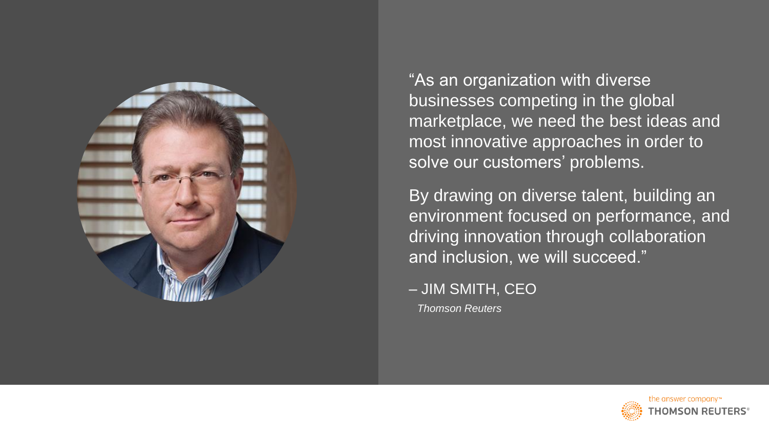

"As an organization with diverse businesses competing in the global marketplace, we need the best ideas and most innovative approaches in order to solve our customers' problems.

By drawing on diverse talent, building an environment focused on performance, and driving innovation through collaboration and inclusion, we will succeed."

– JIM SMITH, CEO *Thomson Reuters*

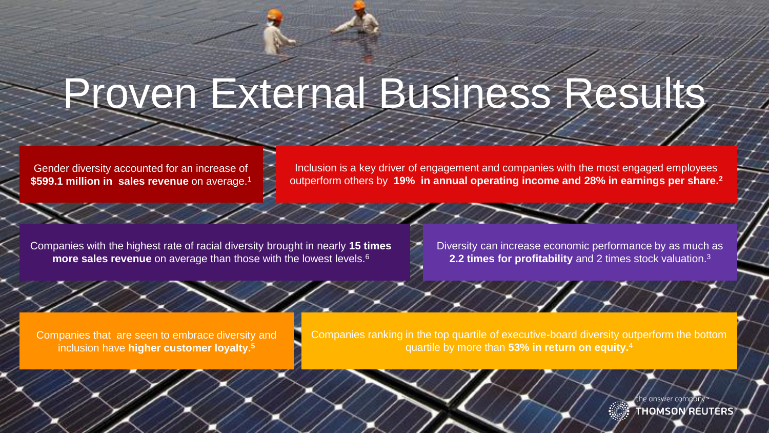# Proven External Business Results

Gender diversity accounted for an increase of **\$599.1 million in sales revenue** on average.<sup>1</sup>

Inclusion is a key driver of engagement and companies with the most engaged employees outperform others by **19% in annual operating income and 28% in earnings per share.<sup>2</sup>**

Companies with the highest rate of racial diversity brought in nearly **15 times more sales revenue** on average than those with the lowest levels.<sup>6</sup>

Diversity can increase economic performance by as much as **2.2 times for profitability** and 2 times stock valuation.<sup>3</sup>

Companies that are seen to embrace diversity and inclusion have **higher customer loyalty.<sup>5</sup>**

Companies ranking in the top quartile of executive-board diversity outperform the bottom quartile by more than **53% in return on equity.**<sup>4</sup>

**THOMSON REUTERS®** 

Je answer company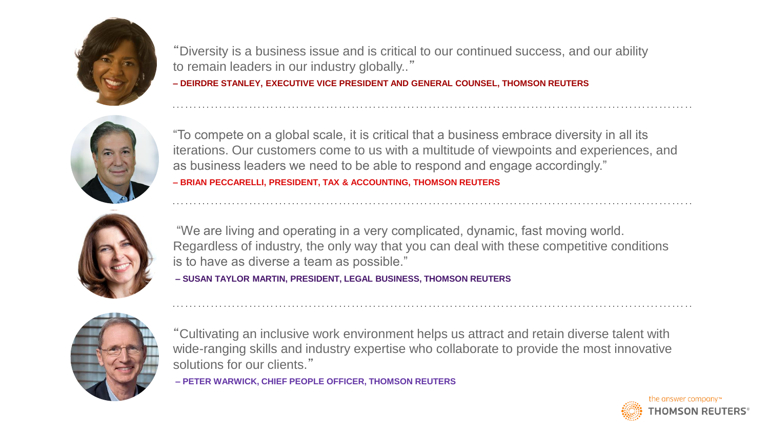

"Diversity is a business issue and is critical to our continued success, and our ability to remain leaders in our industry globally.."

**– DEIRDRE STANLEY, EXECUTIVE VICE PRESIDENT AND GENERAL COUNSEL, THOMSON REUTERS**



"To compete on a global scale, it is critical that a business embrace diversity in all its iterations. Our customers come to us with a multitude of viewpoints and experiences, and as business leaders we need to be able to respond and engage accordingly." **– BRIAN PECCARELLI, PRESIDENT, TAX & ACCOUNTING, THOMSON REUTERS**



"We are living and operating in a very complicated, dynamic, fast moving world. Regardless of industry, the only way that you can deal with these competitive conditions is to have as diverse a team as possible."

**– SUSAN TAYLOR MARTIN, PRESIDENT, LEGAL BUSINESS, THOMSON REUTERS**



"Cultivating an inclusive work environment helps us attract and retain diverse talent with wide-ranging skills and industry expertise who collaborate to provide the most innovative solutions for our clients."

**– PETER WARWICK, CHIEF PEOPLE OFFICER, THOMSON REUTERS** 

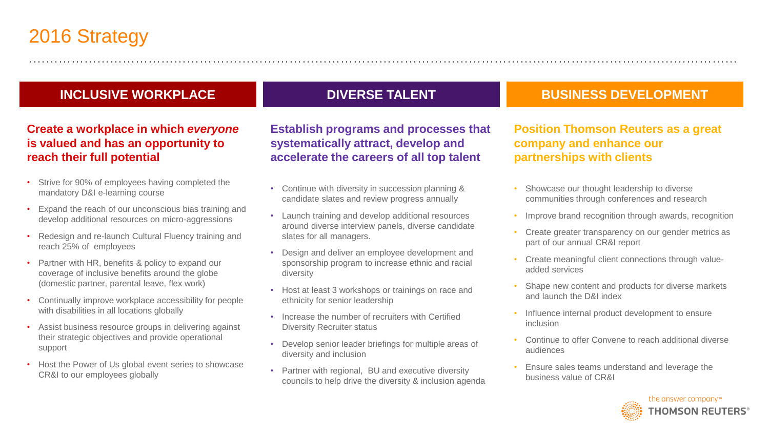## 2016 Strategy

#### **INCLUSIVE WORKPLACE**

#### **Create a workplace in which** *everyone* **is valued and has an opportunity to reach their full potential**

- Strive for 90% of employees having completed the mandatory D&I e-learning course
- Expand the reach of our unconscious bias training and develop additional resources on micro-aggressions
- Redesign and re-launch Cultural Fluency training and reach 25% of employees
- Partner with HR, benefits & policy to expand our coverage of inclusive benefits around the globe (domestic partner, parental leave, flex work)
- Continually improve workplace accessibility for people with disabilities in all locations globally
- Assist business resource groups in delivering against their strategic objectives and provide operational support
- Host the Power of Us global event series to showcase CR&I to our employees globally

#### **DIVERSE TALENT**

**Establish programs and processes that systematically attract, develop and accelerate the careers of all top talent** 

- Continue with diversity in succession planning & candidate slates and review progress annually
- Launch training and develop additional resources around diverse interview panels, diverse candidate slates for all managers.
- Design and deliver an employee development and sponsorship program to increase ethnic and racial diversity
- Host at least 3 workshops or trainings on race and ethnicity for senior leadership
- Increase the number of recruiters with Certified Diversity Recruiter status
- Develop senior leader briefings for multiple areas of diversity and inclusion
- Partner with regional, BU and executive diversity councils to help drive the diversity & inclusion agenda

#### **BUSINESS DEVELOPMENT**

**Position Thomson Reuters as a great company and enhance our partnerships with clients**

- Showcase our thought leadership to diverse communities through conferences and research
- Improve brand recognition through awards, recognition
- Create greater transparency on our gender metrics as part of our annual CR&I report
- Create meaningful client connections through valueadded services
- Shape new content and products for diverse markets and launch the D&I index
- Influence internal product development to ensure inclusion
- Continue to offer Convene to reach additional diverse audiences
- Ensure sales teams understand and leverage the business value of CR&I

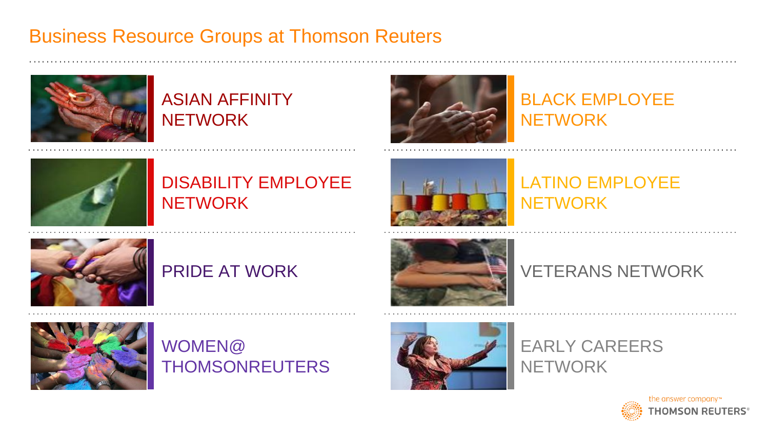## Business Resource Groups at Thomson Reuters



## ASIAN AFFINITY **NETWORK**



## BLACK EMPLOYEE **NETWORK**



## DISABILITY EMPLOYEE **NETWORK**



## LATINO EMPLOYEE **NETWORK**



## PRIDE AT WORK



### VETERANS NETWORK



WOMEN@ **THOMSONREUTERS** 



EARLY CAREERS **NETWORK**